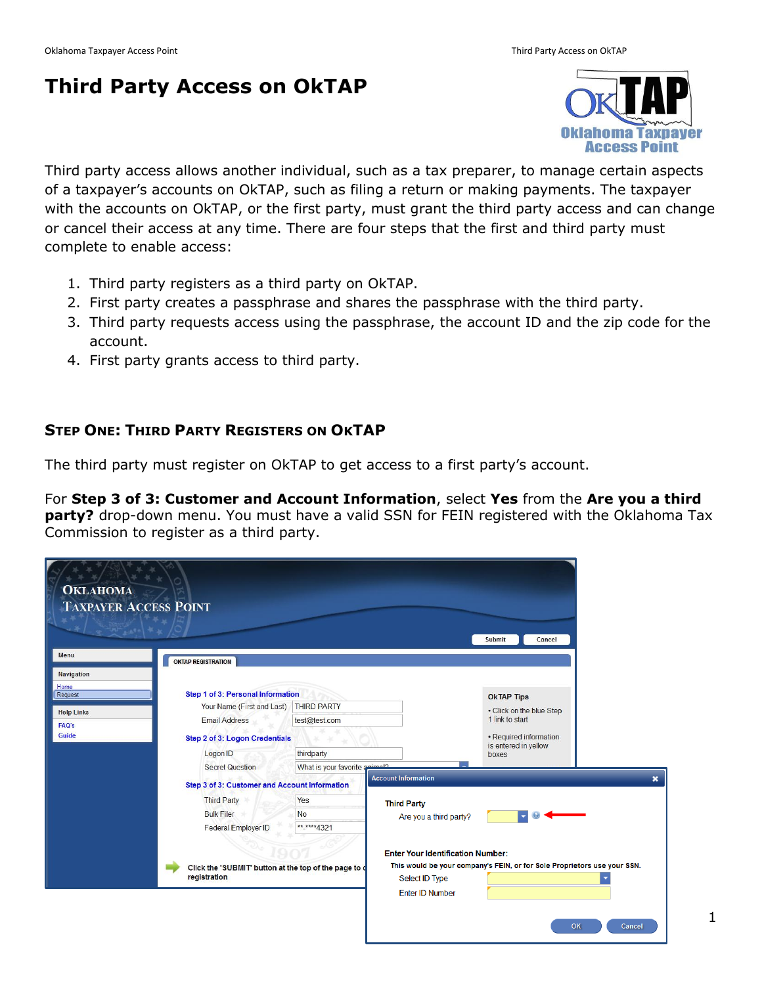# **Third Party Access on OkTAP**



Third party access allows another individual, such as a tax preparer, to manage certain aspects of a taxpayer's accounts on OkTAP, such as filing a return or making payments. The taxpayer with the accounts on OkTAP, or the first party, must grant the third party access and can change or cancel their access at any time. There are four steps that the first and third party must complete to enable access:

- 1. Third party registers as a third party on OkTAP.
- 2. First party creates a passphrase and shares the passphrase with the third party.
- 3. Third party requests access using the passphrase, the account ID and the zip code for the account.
- 4. First party grants access to third party.

### **STEP ONE: THIRD PARTY REGISTERS ON OKTAP**

The third party must register on OkTAP to get access to a first party's account.

For **Step 3 of 3: Customer and Account Information**, select **Yes** from the **Are you a third party?** drop-down menu. You must have a valid SSN for FEIN registered with the Oklahoma Tax Commission to register as a third party.

| Menu<br><b>OKTAP REGISTRATION</b><br><b>Navigation</b>                                                                                                                                                                                                                                                                                                                                                                                                                                                                        |                         |
|-------------------------------------------------------------------------------------------------------------------------------------------------------------------------------------------------------------------------------------------------------------------------------------------------------------------------------------------------------------------------------------------------------------------------------------------------------------------------------------------------------------------------------|-------------------------|
|                                                                                                                                                                                                                                                                                                                                                                                                                                                                                                                               |                         |
| Home<br>Step 1 of 3: Personal Information<br>Request<br><b>OkTAP Tips</b><br><b>THIRD PARTY</b><br>Your Name (First and Last)<br>• Click on the blue Step<br><b>Help Links</b><br>1 link to start<br><b>Email Address</b><br>test@test.com<br>FAQ's<br>Guide<br>• Required information<br>Step 2 of 3: Logon Credentials<br>is entered in yellow<br>thirdparty<br>Logon ID<br>boxes<br>What is your favorite animals<br><b>Secret Question</b><br><b>Account Information</b><br>Step 3 of 3: Customer and Account Information | $\overline{\mathbf{x}}$ |
| Yes<br><b>Third Party</b><br><b>Third Party</b><br><b>Bulk Filer</b><br><b>No</b><br>Are you a third party?<br>** **** 4321<br>Federal Employer ID<br><b>Enter Your Identification Number:</b><br>This would be your company's FEIN, or for Sole Proprietors use your SSN.<br>Click the 'SUBMIT' button at the top of the page to d<br>registration<br>Select ID Type<br><b>Enter ID Number</b>                                                                                                                               | ۰                       |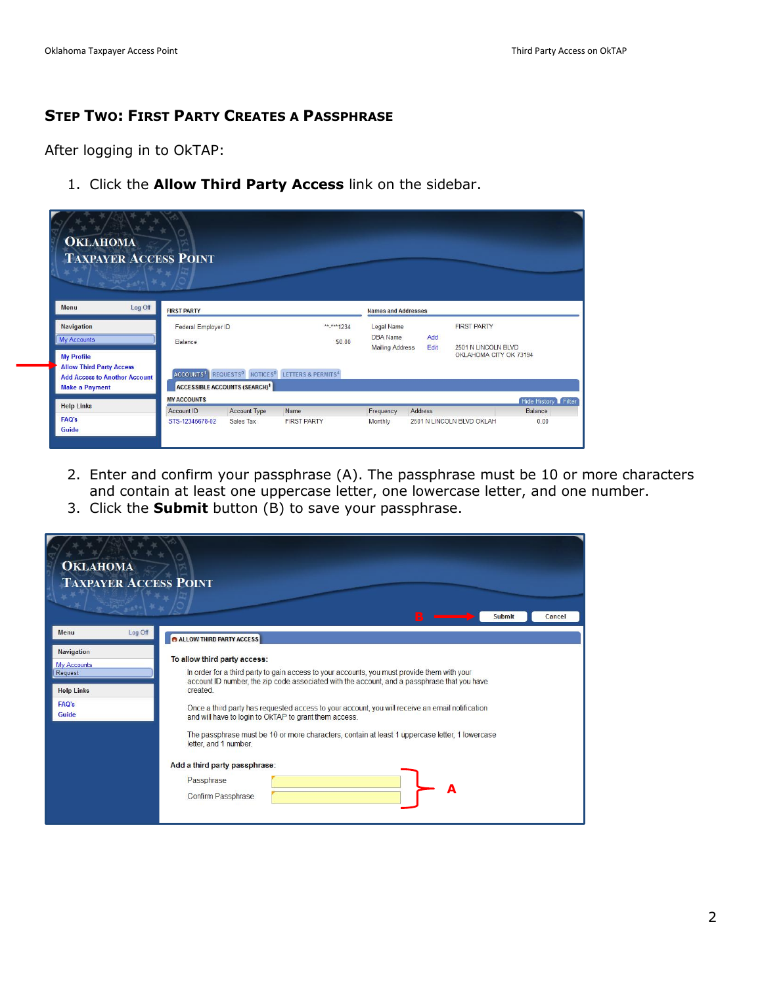## **STEP TWO: FIRST PARTY CREATES A PASSPHRASE**

After logging in to OkTAP:

1. Click the **Allow Third Party Access** link on the sidebar.

| <b>OKLAHOMA</b><br><b>TAXPAYER ACCESS POINT</b>                                                                       |                     |                                                 |                                                                                                 |                                           |             |                                               |                     |
|-----------------------------------------------------------------------------------------------------------------------|---------------------|-------------------------------------------------|-------------------------------------------------------------------------------------------------|-------------------------------------------|-------------|-----------------------------------------------|---------------------|
| Log Off<br>Menu                                                                                                       | <b>FIRST PARTY</b>  |                                                 |                                                                                                 | <b>Names and Addresses</b>                |             |                                               |                     |
| <b>Navigation</b>                                                                                                     | Federal Employer ID |                                                 | ** <sub>****</sub> 1234                                                                         | Legal Name                                |             | <b>FIRST PARTY</b>                            |                     |
| My Accounts                                                                                                           | Balance             |                                                 | \$0.00                                                                                          | <b>DBA</b> Name<br><b>Mailing Address</b> | Add<br>Edit | 2501 N LINCOLN BLVD<br>OKLAHOMA CITY OK 73194 |                     |
| <b>My Profile</b><br><b>Allow Third Party Access</b><br><b>Add Access to Another Account</b><br><b>Make a Payment</b> |                     | <b>ACCESSIBLE ACCOUNTS (SEARCH)<sup>1</sup></b> | ACCOUNTS <sup>1</sup> REQUESTS <sup>0</sup> NOTICES <sup>0</sup> LETTERS & PERMITS <sup>4</sup> |                                           |             |                                               |                     |
| <b>Help Links</b>                                                                                                     | <b>MY ACCOUNTS</b>  |                                                 |                                                                                                 |                                           |             |                                               | Hide History Filter |
|                                                                                                                       | Account ID          | <b>Account Type</b>                             | Name                                                                                            | Frequency                                 | Address     |                                               | <b>Balance</b>      |
| FAQ's<br>Guide                                                                                                        | STS-12345678-02     | Sales Tax                                       | <b>FIRST PARTY</b>                                                                              | Monthly                                   |             | 2501 N LINCOLN BLVD OKLAH                     | 0.00                |

- 2. Enter and confirm your passphrase (A). The passphrase must be 10 or more characters and contain at least one uppercase letter, one lowercase letter, and one number.
- 3. Click the **Submit** button (B) to save your passphrase.

| <b>OKLAHOMA</b><br><b>TAXPAYER ACCESS POINT</b>                                           | <b>Submit</b><br>Cancel                                                                                                                                                                                                                                                                                                                                                                                                                                                                                                                                                                                |
|-------------------------------------------------------------------------------------------|--------------------------------------------------------------------------------------------------------------------------------------------------------------------------------------------------------------------------------------------------------------------------------------------------------------------------------------------------------------------------------------------------------------------------------------------------------------------------------------------------------------------------------------------------------------------------------------------------------|
| Log Off<br>Menu                                                                           | <b>B</b> ALLOW THIRD PARTY ACCESS                                                                                                                                                                                                                                                                                                                                                                                                                                                                                                                                                                      |
| <b>Navigation</b><br><b>My Accounts</b><br>Request<br><b>Help Links</b><br>FAQ's<br>Guide | To allow third party access:<br>In order for a third party to gain access to your accounts, you must provide them with your<br>account ID number, the zip code associated with the account, and a passphrase that you have<br>created<br>Once a third party has requested access to your account, you will receive an email notification<br>and will have to login to OkTAP to grant them access.<br>The passphrase must be 10 or more characters, contain at least 1 uppercase letter, 1 lowercase<br>letter, and 1 number.<br>Add a third party passphrase:<br>Passphrase<br>Α<br>Confirm Passphrase |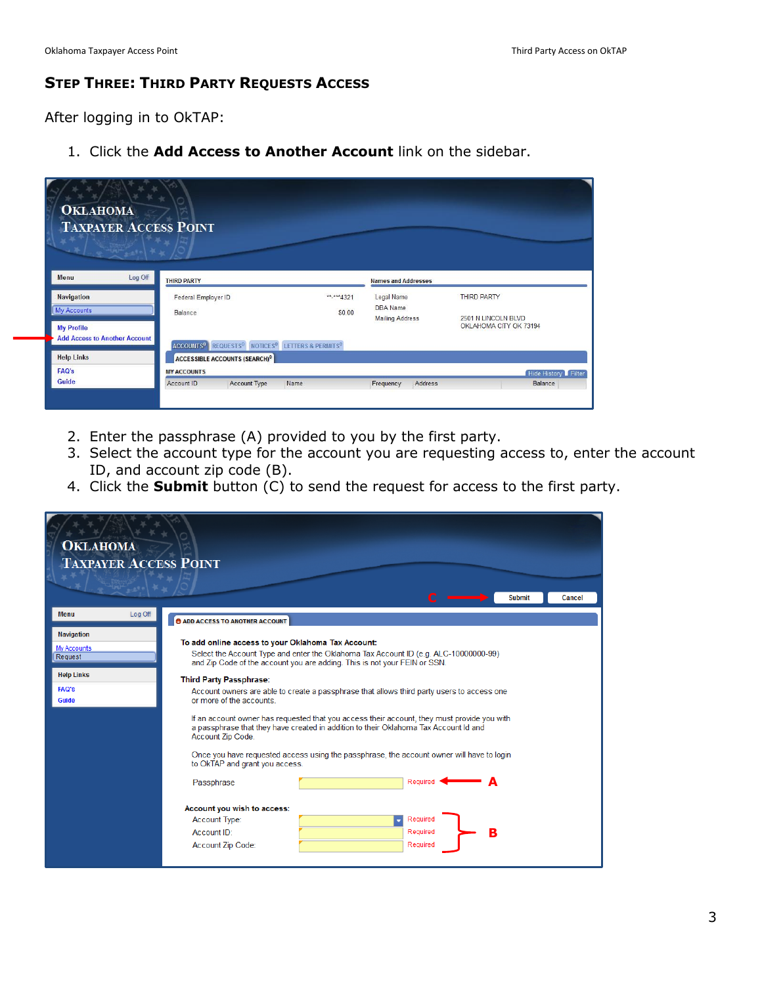## **STEP THREE: THIRD PARTY REQUESTS ACCESS**

After logging in to OkTAP:

1. Click the **Add Access to Another Account** link on the sidebar.

| <b>OKLAHOMA</b><br><b>TAXPAYER ACCESS POINT</b><br>$\frac{1}{100}$ $\frac{1}{100}$ $\frac{1}{100}$ $\frac{1}{100}$ |                                                                                                    |                        |                               |                                               |
|--------------------------------------------------------------------------------------------------------------------|----------------------------------------------------------------------------------------------------|------------------------|-------------------------------|-----------------------------------------------|
| Log Off<br>Menu                                                                                                    | <b>THIRD PARTY</b>                                                                                 |                        | <b>Names and Addresses</b>    |                                               |
| <b>Navigation</b><br><b>My Accounts</b>                                                                            | Federal Employer ID                                                                                | ** <sub>****4321</sub> | Legal Name<br><b>DBA</b> Name | <b>THIRD PARTY</b>                            |
| <b>My Profile</b>                                                                                                  | Balance                                                                                            | \$0.00                 | <b>Mailing Address</b>        | 2501 N LINCOLN BLVD<br>OKLAHOMA CITY OK 73194 |
| <b>Add Access to Another Account</b>                                                                               | REQUESTS <sup>0</sup> NOTICES <sup>0</sup> LETTERS & PERMITS <sup>0</sup><br>ACCOUNTS <sup>0</sup> |                        |                               |                                               |
| <b>Help Links</b>                                                                                                  | <b>ACCESSIBLE ACCOUNTS (SEARCH)<sup>0</sup></b>                                                    |                        |                               |                                               |
| <b>FAQ's</b>                                                                                                       | <b>MY ACCOUNTS</b>                                                                                 |                        |                               | Hide History Filter                           |
| <b>Guide</b>                                                                                                       | Account ID<br><b>Account Type</b>                                                                  | Name                   | Address<br>Frequency          | Balance                                       |

- 2. Enter the passphrase (A) provided to you by the first party.
- 3. Select the account type for the account you are requesting access to, enter the account ID, and account zip code (B).
- 4. Click the **Submit** button (C) to send the request for access to the first party.

| <b>OKLAHOMA</b><br><b>TAXPAYER ACCESS POINT</b>                                           |                                                                                                                                                                                                                                                                                                                                                                                                                                                                                                                                                                                                                                                                                                                                                   |
|-------------------------------------------------------------------------------------------|---------------------------------------------------------------------------------------------------------------------------------------------------------------------------------------------------------------------------------------------------------------------------------------------------------------------------------------------------------------------------------------------------------------------------------------------------------------------------------------------------------------------------------------------------------------------------------------------------------------------------------------------------------------------------------------------------------------------------------------------------|
|                                                                                           | <b>Submit</b><br>Cancel                                                                                                                                                                                                                                                                                                                                                                                                                                                                                                                                                                                                                                                                                                                           |
| Log Off<br><b>Menu</b>                                                                    | <b>O ADD ACCESS TO ANOTHER ACCOUNT</b>                                                                                                                                                                                                                                                                                                                                                                                                                                                                                                                                                                                                                                                                                                            |
| <b>Navigation</b><br>My Accounts<br>Request<br><b>Help Links</b><br><b>FAQ's</b><br>Guide | To add online access to your Oklahoma Tax Account:<br>Select the Account Type and enter the Oklahoma Tax Account ID (e.g. ALC-10000000-99)<br>and Zip Code of the account you are adding. This is not your FEIN or SSN.<br>Third Party Passphrase:<br>Account owners are able to create a passphrase that allows third party users to access one<br>or more of the accounts.<br>If an account owner has requested that you access their account, they must provide you with<br>a passphrase that they have created in addition to their Oklahoma Tax Account Id and<br>Account Zip Code.<br>Once you have requested access using the passphrase, the account owner will have to login<br>to OkTAP and grant you access.<br>Required<br>Passphrase |
|                                                                                           | Account you wish to access:<br>Required<br><b>Account Type:</b><br>Required<br>в<br>Account ID:<br>Required<br>Account Zip Code:                                                                                                                                                                                                                                                                                                                                                                                                                                                                                                                                                                                                                  |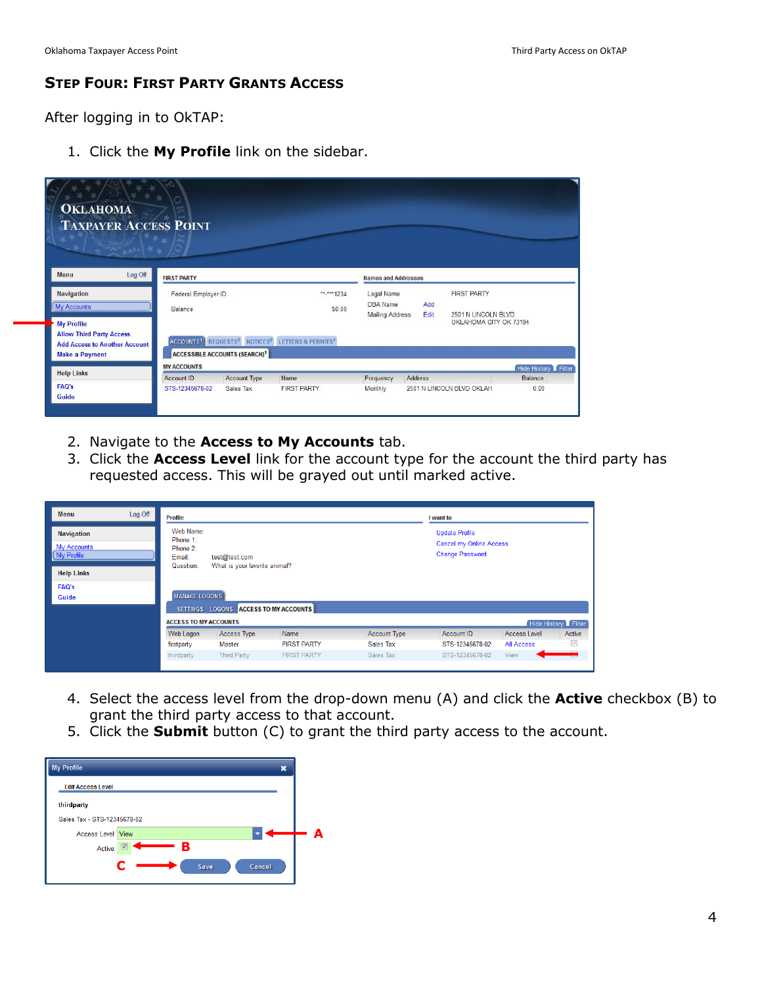### **STEP FOUR: FIRST PARTY GRANTS ACCESS**

After logging in to OkTAP:

1. Click the **My Profile** link on the sidebar.

| <b>OKLAHOMA</b><br><b>TAXPAYER ACCESS POINT</b>                                                                       |                       |                                                 |                                                                           |                                           |             |                           |                     |
|-----------------------------------------------------------------------------------------------------------------------|-----------------------|-------------------------------------------------|---------------------------------------------------------------------------|-------------------------------------------|-------------|---------------------------|---------------------|
| Log Off<br>Menu                                                                                                       | <b>FIRST PARTY</b>    |                                                 |                                                                           | <b>Names and Addresses</b>                |             |                           |                     |
| <b>Navigation</b>                                                                                                     | Federal Employer ID   |                                                 | **_**** 1234                                                              | Legal Name                                |             | <b>FIRST PARTY</b>        |                     |
| <b>My Accounts</b>                                                                                                    | Balance               |                                                 | \$0.00                                                                    | <b>DBA</b> Name<br><b>Mailing Address</b> | Add<br>Edit | 2501 N LINCOLN BLVD       |                     |
| <b>My Profile</b><br><b>Allow Third Party Access</b><br><b>Add Access to Another Account</b><br><b>Make a Payment</b> | ACCOUNTS <sup>1</sup> | <b>ACCESSIBLE ACCOUNTS (SEARCH)<sup>1</sup></b> | REQUESTS <sup>0</sup> NOTICES <sup>0</sup> LETTERS & PERMITS <sup>4</sup> |                                           |             | OKLAHOMA CITY OK 73194    |                     |
| <b>Help Links</b>                                                                                                     | <b>MY ACCOUNTS</b>    |                                                 |                                                                           |                                           |             |                           | Hide History Filter |
|                                                                                                                       | Account ID            | <b>Account Type</b>                             | Name                                                                      | Frequency                                 | Address     |                           | <b>Balance</b>      |
| <b>FAQ's</b><br>Guide                                                                                                 | STS-12345678-02       | Sales Tax                                       | <b>FIRST PARTY</b>                                                        | Monthly                                   |             | 2501 N LINCOLN BLVD OKLAH | 0.00                |

- 2. Navigate to the **Access to My Accounts** tab.
- 3. Click the **Access Level** link for the account type for the account the third party has requested access. This will be grayed out until marked active.

| Menu                                                                       | Log Off | <b>Profile</b>                                           |                                                |                    |                     | I want to                                                                  |                     |                     |
|----------------------------------------------------------------------------|---------|----------------------------------------------------------|------------------------------------------------|--------------------|---------------------|----------------------------------------------------------------------------|---------------------|---------------------|
| <b>Navigation</b><br><b>My Accounts</b><br>My Profile<br><b>Help Links</b> |         | Web Name:<br>Phone 1:<br>Phone 2:<br>Email:<br>Question: | test@test.com<br>What is your favorite animal? |                    |                     | <b>Update Profile</b><br>Cancel my Online Access<br><b>Change Password</b> |                     |                     |
| <b>FAQ's</b>                                                               |         | <b>MANAGE LOGONS</b>                                     |                                                |                    |                     |                                                                            |                     |                     |
| Guide                                                                      |         |                                                          | SETTINGS LOGONS ACCESS TO MY ACCOUNTS          |                    |                     |                                                                            |                     |                     |
|                                                                            |         | <b>ACCESS TO MY ACCOUNTS</b>                             |                                                |                    |                     |                                                                            |                     | Hide History Filter |
|                                                                            |         | Web Logon                                                | <b>Access Type</b>                             | Name               | <b>Account Type</b> | Account ID                                                                 | <b>Access Level</b> | Active              |
|                                                                            |         | firstparty                                               | <b>Master</b>                                  | <b>FIRST PARTY</b> | Sales Tax           | STS-12345678-02                                                            | All Access          | $\checkmark$        |
|                                                                            |         | thirdparty                                               | <b>Third Party</b>                             | <b>FIRST PARTY</b> | Sales Tax           | STS-12345678-02                                                            | View                |                     |
|                                                                            |         |                                                          |                                                |                    |                     |                                                                            |                     |                     |

- 4. Select the access level from the drop-down menu (A) and click the **Active** checkbox (B) to grant the third party access to that account.
- 5. Click the **Submit** button (C) to grant the third party access to the account.

| <b>My Profile</b><br>×      |   |
|-----------------------------|---|
| <b>Edit Access Level</b>    |   |
| thirdparty                  |   |
| Sales Tax - STS-12345678-02 |   |
| <b>Access Level: View</b>   | А |
| В<br>V<br>Active:           |   |
| Г<br>Cancel<br>Save         |   |